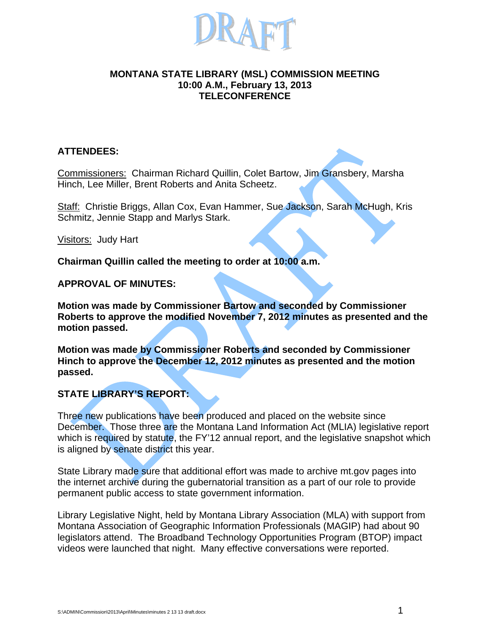

#### **MONTANA STATE LIBRARY (MSL) COMMISSION MEETING 10:00 A.M., February 13, 2013 TELECONFERENCE**

## **ATTENDEES:**

Commissioners: Chairman Richard Quillin, Colet Bartow, Jim Gransbery, Marsha Hinch, Lee Miller, Brent Roberts and Anita Scheetz.

Staff: Christie Briggs, Allan Cox, Evan Hammer, Sue Jackson, Sarah McHugh, Kris Schmitz, Jennie Stapp and Marlys Stark.

Visitors: Judy Hart

**Chairman Quillin called the meeting to order at 10:00 a.m.**

## **APPROVAL OF MINUTES:**

**Motion was made by Commissioner Bartow and seconded by Commissioner Roberts to approve the modified November 7, 2012 minutes as presented and the motion passed.** 

**Motion was made by Commissioner Roberts and seconded by Commissioner Hinch to approve the December 12, 2012 minutes as presented and the motion passed.** 

# **STATE LIBRARY'S REPORT:**

Three new publications have been produced and placed on the website since December. Those three are the Montana Land Information Act (MLIA) legislative report which is required by statute, the FY'12 annual report, and the legislative snapshot which is aligned by senate district this year.

State Library made sure that additional effort was made to archive mt.gov pages into the internet archive during the gubernatorial transition as a part of our role to provide permanent public access to state government information.

Library Legislative Night, held by Montana Library Association (MLA) with support from Montana Association of Geographic Information Professionals (MAGIP) had about 90 legislators attend. The Broadband Technology Opportunities Program (BTOP) impact videos were launched that night. Many effective conversations were reported.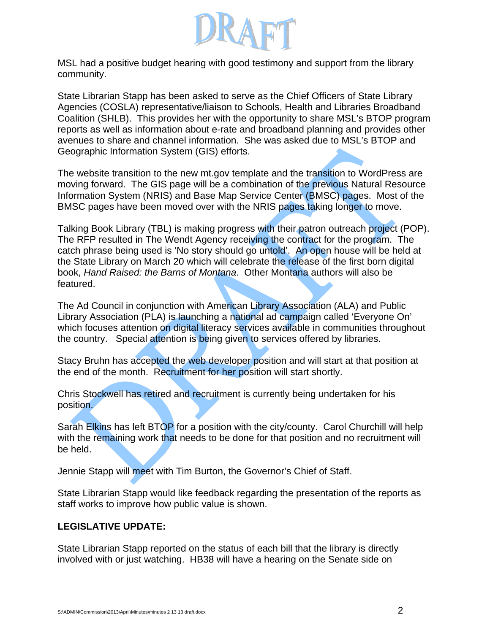

MSL had a positive budget hearing with good testimony and support from the library community.

State Librarian Stapp has been asked to serve as the Chief Officers of State Library Agencies (COSLA) representative/liaison to Schools, Health and Libraries Broadband Coalition (SHLB). This provides her with the opportunity to share MSL's BTOP program reports as well as information about e-rate and broadband planning and provides other avenues to share and channel information. She was asked due to MSL's BTOP and Geographic Information System (GIS) efforts.

The website transition to the new mt.gov template and the transition to WordPress are moving forward. The GIS page will be a combination of the previous Natural Resource Information System (NRIS) and Base Map Service Center (BMSC) pages. Most of the BMSC pages have been moved over with the NRIS pages taking longer to move.

Talking Book Library (TBL) is making progress with their patron outreach project (POP). The RFP resulted in The Wendt Agency receiving the contract for the program. The catch phrase being used is 'No story should go untold'. An open house will be held at the State Library on March 20 which will celebrate the release of the first born digital book, *Hand Raised: the Barns of Montana*. Other Montana authors will also be featured.

The Ad Council in conjunction with American Library Association (ALA) and Public Library Association (PLA) is launching a national ad campaign called 'Everyone On' which focuses attention on digital literacy services available in communities throughout the country. Special attention is being given to services offered by libraries.

Stacy Bruhn has accepted the web developer position and will start at that position at the end of the month. Recruitment for her position will start shortly.

Chris Stockwell has retired and recruitment is currently being undertaken for his position.

Sarah Elkins has left BTOP for a position with the city/county. Carol Churchill will help with the remaining work that needs to be done for that position and no recruitment will be held.

Jennie Stapp will meet with Tim Burton, the Governor's Chief of Staff.

State Librarian Stapp would like feedback regarding the presentation of the reports as staff works to improve how public value is shown.

## **LEGISLATIVE UPDATE:**

State Librarian Stapp reported on the status of each bill that the library is directly involved with or just watching. HB38 will have a hearing on the Senate side on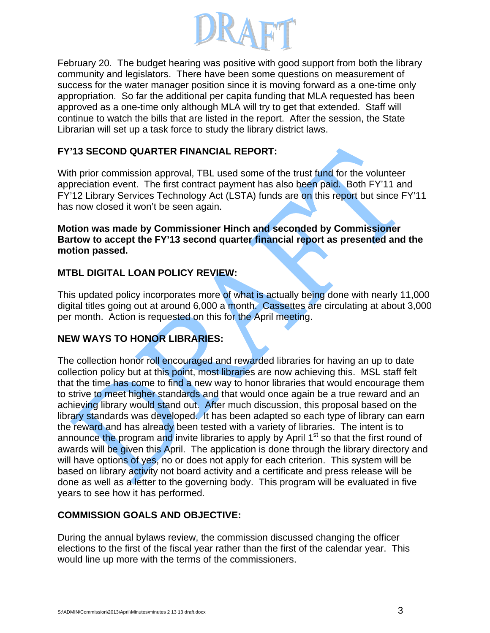

February 20. The budget hearing was positive with good support from both the library community and legislators. There have been some questions on measurement of success for the water manager position since it is moving forward as a one-time only appropriation. So far the additional per capita funding that MLA requested has been approved as a one-time only although MLA will try to get that extended. Staff will continue to watch the bills that are listed in the report. After the session, the State Librarian will set up a task force to study the library district laws.

## **FY'13 SECOND QUARTER FINANCIAL REPORT:**

With prior commission approval, TBL used some of the trust fund for the volunteer appreciation event. The first contract payment has also been paid. Both FY'11 and FY'12 Library Services Technology Act (LSTA) funds are on this report but since FY'11 has now closed it won't be seen again.

**Motion was made by Commissioner Hinch and seconded by Commissioner Bartow to accept the FY'13 second quarter financial report as presented and the motion passed.** 

# **MTBL DIGITAL LOAN POLICY REVIEW:**

This updated policy incorporates more of what is actually being done with nearly 11,000 digital titles going out at around 6,000 a month. Cassettes are circulating at about 3,000 per month. Action is requested on this for the April meeting.

# **NEW WAYS TO HONOR LIBRARIES:**

The collection honor roll encouraged and rewarded libraries for having an up to date collection policy but at this point, most libraries are now achieving this. MSL staff felt that the time has come to find a new way to honor libraries that would encourage them to strive to meet higher standards and that would once again be a true reward and an achieving library would stand out. After much discussion, this proposal based on the library standards was developed. It has been adapted so each type of library can earn the reward and has already been tested with a variety of libraries. The intent is to announce the program and invite libraries to apply by April  $1<sup>st</sup>$  so that the first round of awards will be given this April. The application is done through the library directory and will have options of yes, no or does not apply for each criterion. This system will be based on library activity not board activity and a certificate and press release will be done as well as a letter to the governing body. This program will be evaluated in five years to see how it has performed.

## **COMMISSION GOALS AND OBJECTIVE:**

During the annual bylaws review, the commission discussed changing the officer elections to the first of the fiscal year rather than the first of the calendar year. This would line up more with the terms of the commissioners.